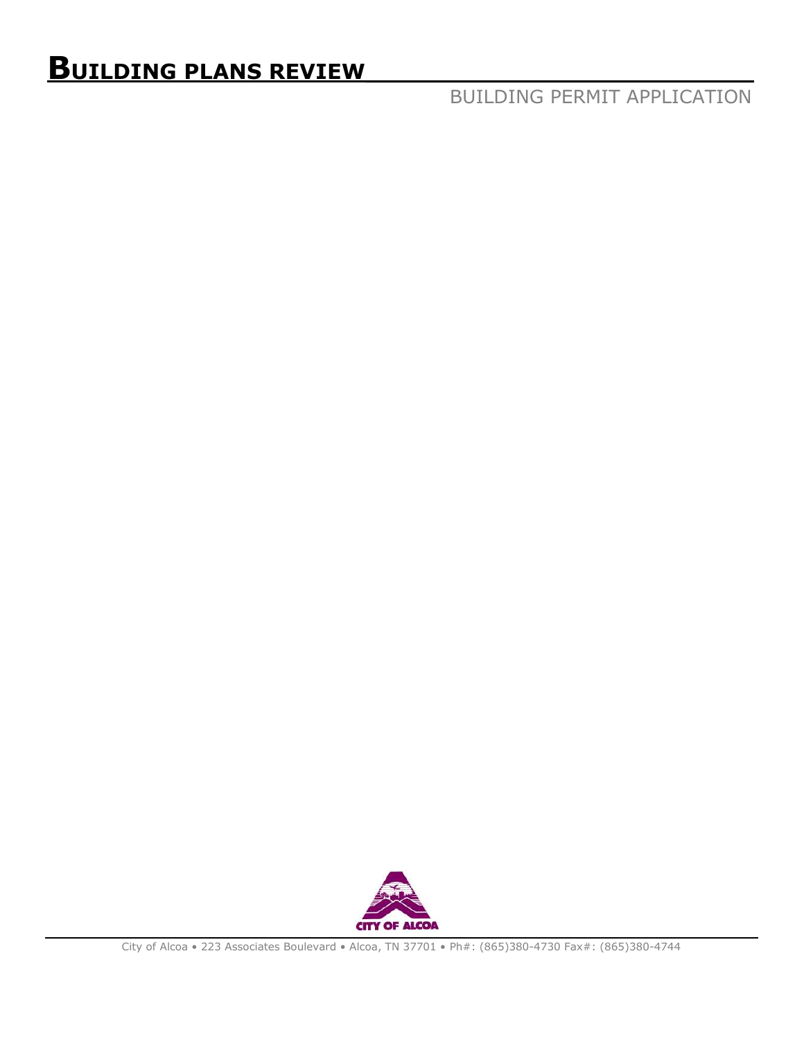# **BUILDING PLANS REVIEW\_\_\_\_\_\_\_\_\_\_\_\_\_\_\_\_\_\_\_\_\_\_\_\_\_\_**

BUILDING PERMIT APPLICATION

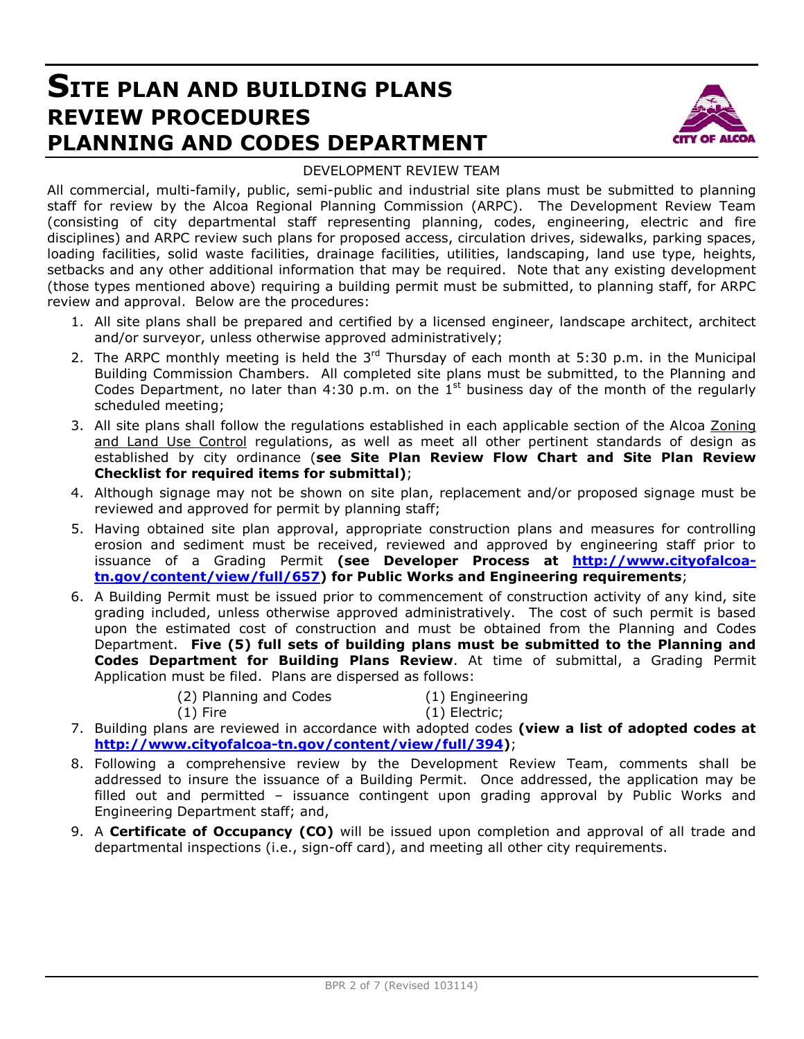## **SITE PLAN AND BUILDING PLANS REVIEW PROCEDURES PLANNING AND CODES DEPARTMENT**



#### DEVELOPMENT REVIEW TEAM

All commercial, multi-family, public, semi-public and industrial site plans must be submitted to planning staff for review by the Alcoa Regional Planning Commission (ARPC). The Development Review Team (consisting of city departmental staff representing planning, codes, engineering, electric and fire disciplines) and ARPC review such plans for proposed access, circulation drives, sidewalks, parking spaces, loading facilities, solid waste facilities, drainage facilities, utilities, landscaping, land use type, heights, setbacks and any other additional information that may be required. Note that any existing development (those types mentioned above) requiring a building permit must be submitted, to planning staff, for ARPC review and approval. Below are the procedures:

- 1. All site plans shall be prepared and certified by a licensed engineer, landscape architect, architect and/or surveyor, unless otherwise approved administratively;
- 2. The ARPC monthly meeting is held the  $3<sup>rd</sup>$  Thursday of each month at 5:30 p.m. in the Municipal Building Commission Chambers. All completed site plans must be submitted, to the Planning and Codes Department, no later than 4:30 p.m. on the  $1<sup>st</sup>$  business day of the month of the regularly scheduled meeting;
- 3. All site plans shall follow the regulations established in each applicable section of the Alcoa Zoning and Land Use Control regulations, as well as meet all other pertinent standards of design as established by city ordinance (**see Site Plan Review Flow Chart and Site Plan Review Checklist for required items for submittal)**;
- 4. Although signage may not be shown on site plan, replacement and/or proposed signage must be reviewed and approved for permit by planning staff;
- 5. Having obtained site plan approval, appropriate construction plans and measures for controlling erosion and sediment must be received, reviewed and approved by engineering staff prior to issuance of a Grading Permit **(see Developer Process at http://www.cityofalcoatn.gov/content/view/full/657) for Public Works and Engineering requirements**;
- 6. A Building Permit must be issued prior to commencement of construction activity of any kind, site grading included, unless otherwise approved administratively. The cost of such permit is based upon the estimated cost of construction and must be obtained from the Planning and Codes Department. **Five (5) full sets of building plans must be submitted to the Planning and Codes Department for Building Plans Review**. At time of submittal, a Grading Permit Application must be filed. Plans are dispersed as follows:
	- (2) Planning and Codes (1) Engineering
		-
		- (1) Fire (1) Electric;
- 
- 7. Building plans are reviewed in accordance with adopted codes **(view a list of adopted codes at http://www.cityofalcoa-tn.gov/content/view/full/394)**;
- 8. Following a comprehensive review by the Development Review Team, comments shall be addressed to insure the issuance of a Building Permit. Once addressed, the application may be filled out and permitted – issuance contingent upon grading approval by Public Works and Engineering Department staff; and,
- 9. A **Certificate of Occupancy (CO)** will be issued upon completion and approval of all trade and departmental inspections (i.e., sign-off card), and meeting all other city requirements.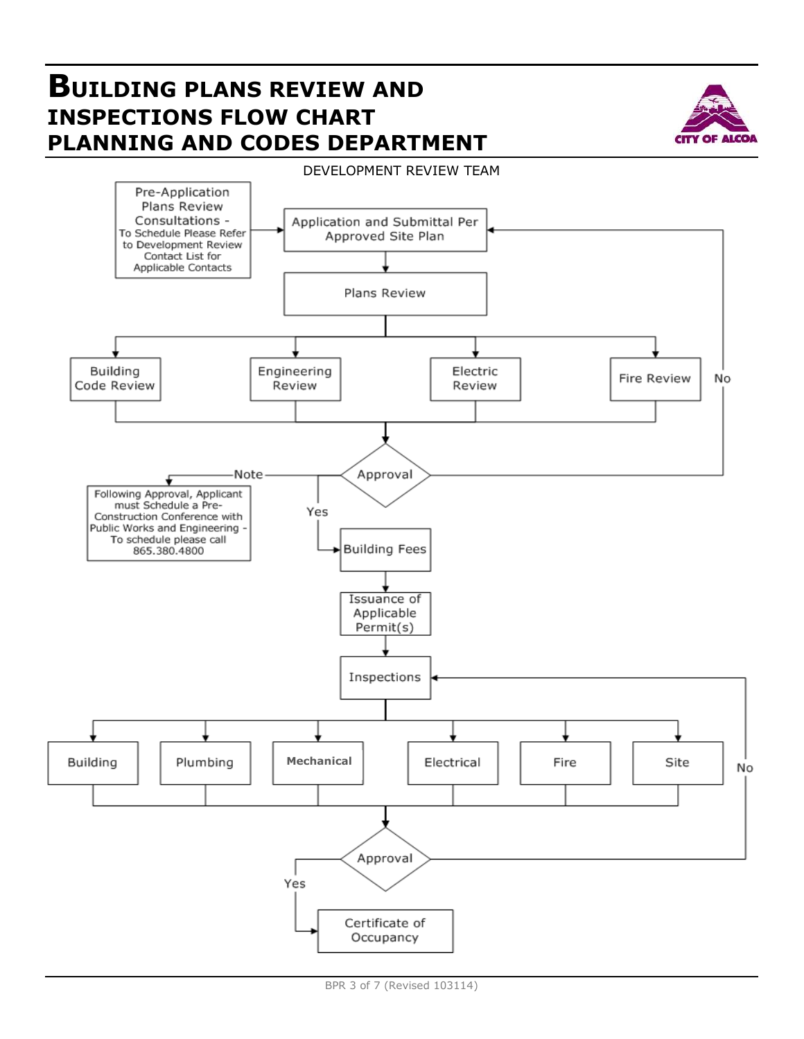# **BUILDING PLANS REVIEW AND INSPECTIONS FLOW CHART PLANNING AND CODES DEPARTMENT**



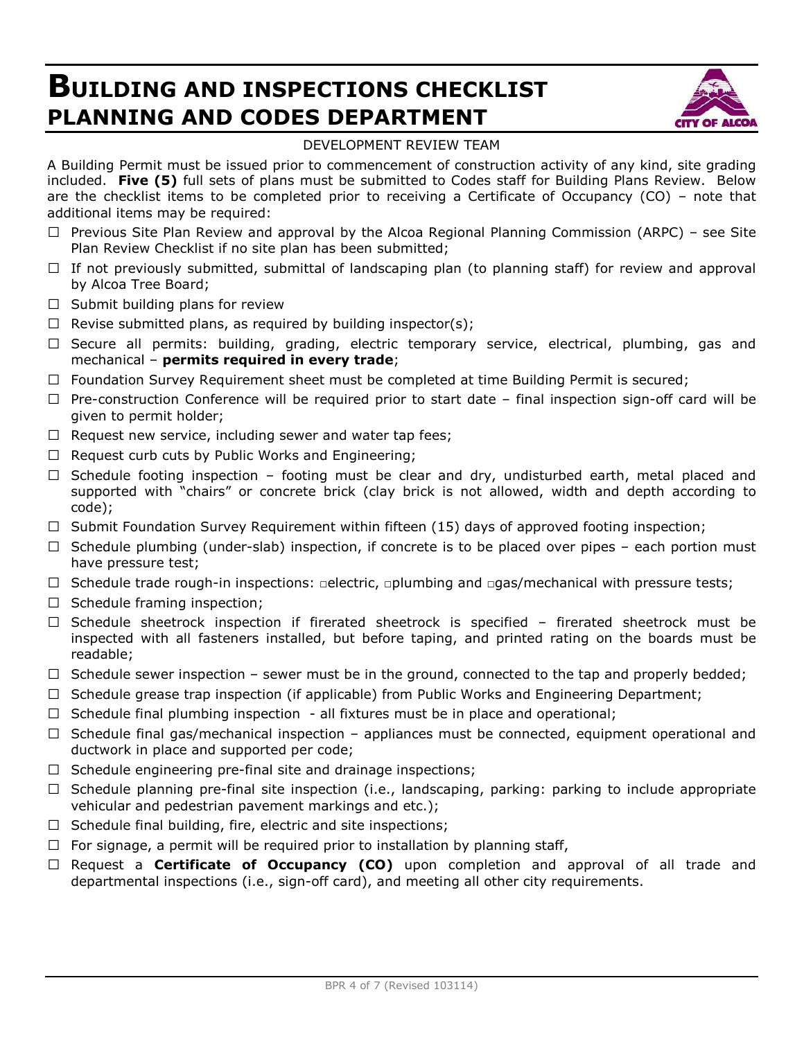# **BUILDING AND INSPECTIONS CHECKLIST PLANNING AND CODES DEPARTMENT**



### DEVELOPMENT REVIEW TEAM

A Building Permit must be issued prior to commencement of construction activity of any kind, site grading included. **Five (5)** full sets of plans must be submitted to Codes staff for Building Plans Review. Below are the checklist items to be completed prior to receiving a Certificate of Occupancy (CO) – note that additional items may be required:

- $\Box$  Previous Site Plan Review and approval by the Alcoa Regional Planning Commission (ARPC) see Site Plan Review Checklist if no site plan has been submitted;
- $\Box$  If not previously submitted, submittal of landscaping plan (to planning staff) for review and approval by Alcoa Tree Board;
- $\Box$  Submit building plans for review
- $\Box$  Revise submitted plans, as required by building inspector(s);
- $\Box$  Secure all permits: building, grading, electric temporary service, electrical, plumbing, gas and mechanical – **permits required in every trade**;
- $\Box$  Foundation Survey Requirement sheet must be completed at time Building Permit is secured;
- $\Box$  Pre-construction Conference will be required prior to start date final inspection sign-off card will be given to permit holder;
- $\Box$  Request new service, including sewer and water tap fees;
- $\Box$  Request curb cuts by Public Works and Engineering;
- $\Box$  Schedule footing inspection footing must be clear and dry, undisturbed earth, metal placed and supported with "chairs" or concrete brick (clay brick is not allowed, width and depth according to code);
- $\Box$  Submit Foundation Survey Requirement within fifteen (15) days of approved footing inspection;
- $\Box$  Schedule plumbing (under-slab) inspection, if concrete is to be placed over pipes each portion must have pressure test;
- □ Schedule trade rough-in inspections: □electric, □plumbing and □gas/mechanical with pressure tests;
- $\Box$  Schedule framing inspection;
- $\Box$  Schedule sheetrock inspection if firerated sheetrock is specified firerated sheetrock must be inspected with all fasteners installed, but before taping, and printed rating on the boards must be readable;
- $\Box$  Schedule sewer inspection sewer must be in the ground, connected to the tap and properly bedded;
- $\Box$  Schedule grease trap inspection (if applicable) from Public Works and Engineering Department;
- $\Box$  Schedule final plumbing inspection all fixtures must be in place and operational;
- $\Box$  Schedule final gas/mechanical inspection appliances must be connected, equipment operational and ductwork in place and supported per code;
- $\Box$  Schedule engineering pre-final site and drainage inspections;
- $\Box$  Schedule planning pre-final site inspection (i.e., landscaping, parking: parking to include appropriate vehicular and pedestrian pavement markings and etc.);
- $\Box$  Schedule final building, fire, electric and site inspections;
- $\Box$  For signage, a permit will be required prior to installation by planning staff,
- $\Box$  Request a **Certificate of Occupancy (CO)** upon completion and approval of all trade and departmental inspections (i.e., sign-off card), and meeting all other city requirements.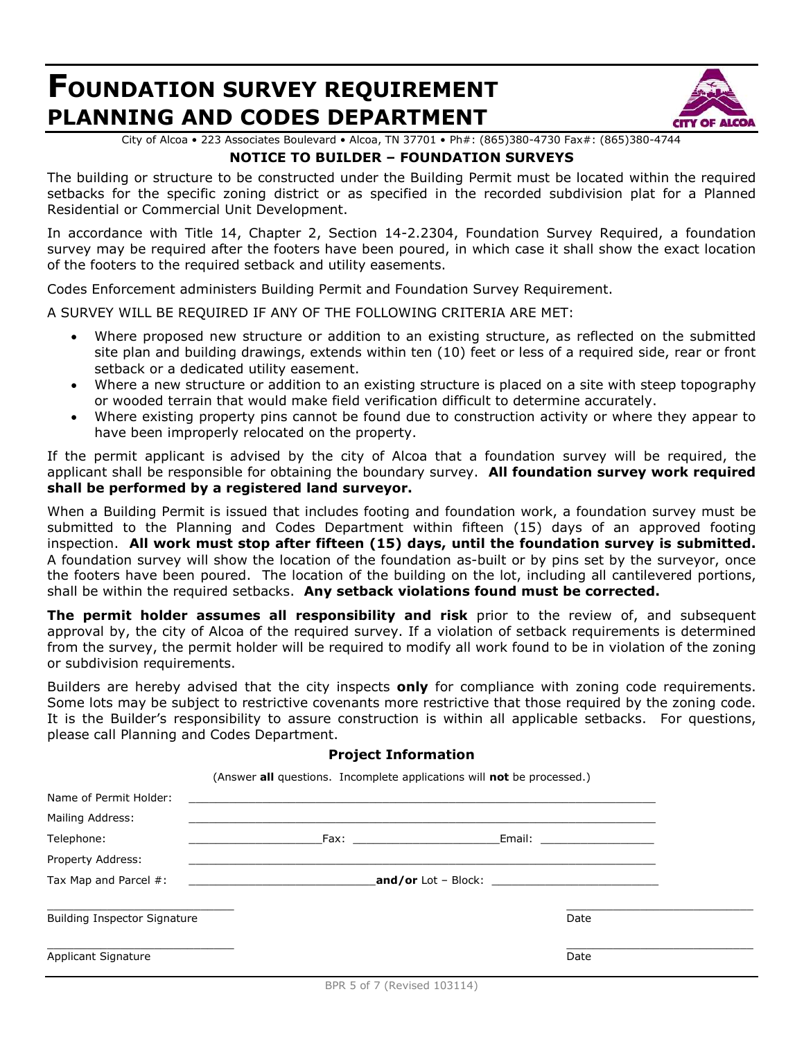## **FOUNDATION SURVEY REQUIREMENT PLANNING AND CODES DEPARTMENT**



City of Alcoa • 223 Associates Boulevard • Alcoa, TN 37701 • Ph#: (865)380-4730 Fax#: (865)380-4744

### **NOTICE TO BUILDER – FOUNDATION SURVEYS**

The building or structure to be constructed under the Building Permit must be located within the required setbacks for the specific zoning district or as specified in the recorded subdivision plat for a Planned Residential or Commercial Unit Development.

In accordance with Title 14, Chapter 2, Section 14-2.2304, Foundation Survey Required, a foundation survey may be required after the footers have been poured, in which case it shall show the exact location of the footers to the required setback and utility easements.

Codes Enforcement administers Building Permit and Foundation Survey Requirement.

A SURVEY WILL BE REQUIRED IF ANY OF THE FOLLOWING CRITERIA ARE MET:

- Where proposed new structure or addition to an existing structure, as reflected on the submitted site plan and building drawings, extends within ten (10) feet or less of a required side, rear or front setback or a dedicated utility easement.
- Where a new structure or addition to an existing structure is placed on a site with steep topography or wooded terrain that would make field verification difficult to determine accurately.
- Where existing property pins cannot be found due to construction activity or where they appear to have been improperly relocated on the property.

If the permit applicant is advised by the city of Alcoa that a foundation survey will be required, the applicant shall be responsible for obtaining the boundary survey. **All foundation survey work required shall be performed by a registered land surveyor.**

When a Building Permit is issued that includes footing and foundation work, a foundation survey must be submitted to the Planning and Codes Department within fifteen (15) days of an approved footing inspection. **All work must stop after fifteen (15) days, until the foundation survey is submitted.** A foundation survey will show the location of the foundation as-built or by pins set by the surveyor, once the footers have been poured. The location of the building on the lot, including all cantilevered portions, shall be within the required setbacks. **Any setback violations found must be corrected.**

**The permit holder assumes all responsibility and risk** prior to the review of, and subsequent approval by, the city of Alcoa of the required survey. If a violation of setback requirements is determined from the survey, the permit holder will be required to modify all work found to be in violation of the zoning or subdivision requirements.

Builders are hereby advised that the city inspects **only** for compliance with zoning code requirements. Some lots may be subject to restrictive covenants more restrictive that those required by the zoning code. It is the Builder's responsibility to assure construction is within all applicable setbacks. For questions, please call Planning and Codes Department.

#### **Project Information**

(Answer **all** questions. Incomplete applications will **not** be processed.) Name of Permit Holder: Mailing Address: Telephone: \_\_\_\_\_\_\_\_\_\_\_\_\_\_\_\_\_\_\_\_Fax: \_\_\_\_\_\_\_\_\_\_\_\_\_\_\_\_\_\_\_\_\_\_Email: \_\_\_\_\_\_\_\_\_\_\_\_\_\_\_\_\_ Property Address: Tax Map and Parcel #: \_\_\_\_\_\_\_\_\_\_\_\_\_\_\_\_\_\_\_\_\_\_\_\_\_\_\_\_**and/or** Lot – Block: \_\_\_\_\_\_\_\_\_\_\_\_\_\_\_\_\_\_\_\_\_\_\_\_\_  $\overline{\phantom{a}}$  , and the contribution of the contribution of the contribution of the contribution of the contribution of the contribution of the contribution of the contribution of the contribution of the contribution of the Building Inspector Signature **Date of American** Control of American Control of American Control of American Control of American Control of American Control of American Control of American Control of American Control of Ame  $\overline{\phantom{a}}$  , and the contract of the contract of the contract of the contract of the contract of the contract of the contract of the contract of the contract of the contract of the contract of the contract of the contrac Applicant Signature Date of the Date of the Date of the Date of the Date of the Date of the Date of the Date of the Date of the Date of the Date of the Date of the Date of the Date of the Date of the Date of the Date of th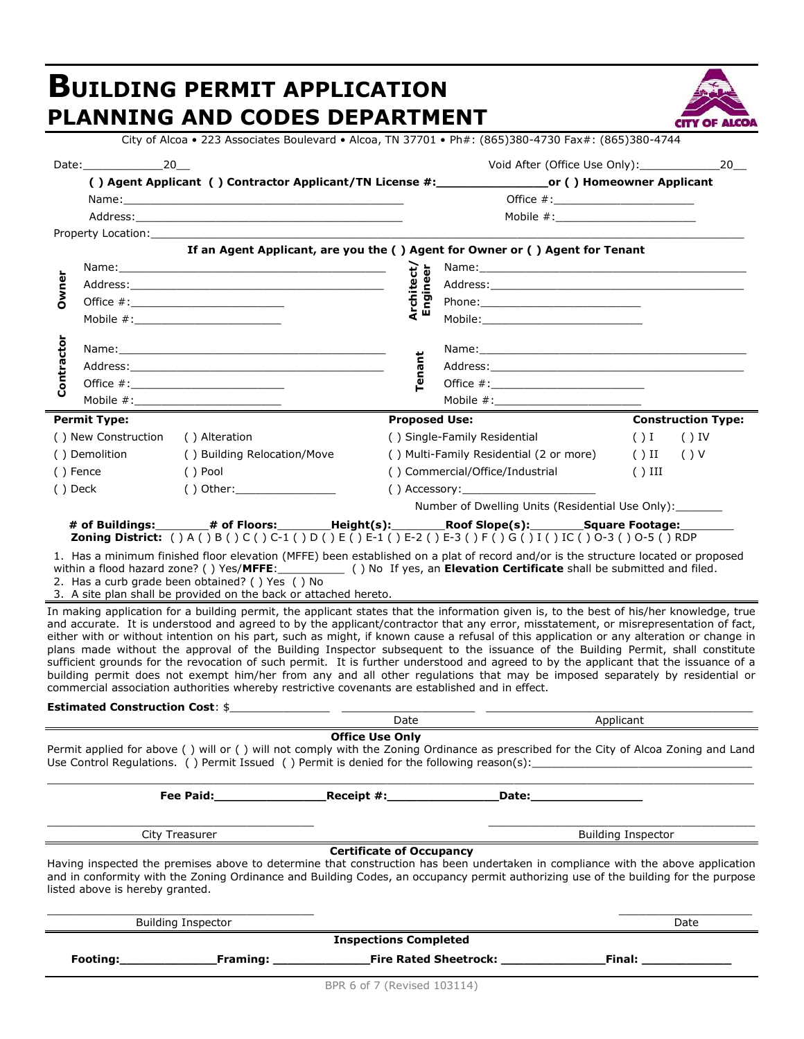#### **BUILDING PERMIT APPLICATION PLANNING AND CODES DEPARTMENT** City of Alcoa • 223 Associates Boulevard • Alcoa, TN 37701 • Ph#: (865)380-4730 Fax#: (865)380-4744 Date:\_\_\_\_\_\_\_\_\_\_\_\_20\_\_ Void After (Office Use Only):\_\_\_\_\_\_\_\_\_\_\_\_20\_\_ **( ) Agent Applicant ( ) Contractor Applicant/TN License #:\_\_\_\_\_\_\_\_\_\_\_\_\_\_\_or ( ) Homeowner Applicant** Name:\_\_\_\_\_\_\_\_\_\_\_\_\_\_\_\_\_\_\_\_\_\_\_\_\_\_\_\_\_\_\_\_\_\_\_\_\_\_\_\_\_\_ Office #:\_\_\_\_\_\_\_\_\_\_\_\_\_\_\_\_\_\_\_\_\_ Address: etc. and the set of the set of the set of the set of the set of the set of the set of the set of the set of the set of the set of the set of the set of the set of the set of the set of the set of the set of the se Property Location: **If an Agent Applicant, are you the ( ) Agent for Owner or ( ) Agent for Tenant Owner** Name: **Architect/ Engine er** Name:  $\mathbf{B} \subseteq \mathbf{A}$ ddress:  $\mathbf{A}$ Office #:\_\_\_\_\_\_\_\_\_\_\_\_\_\_\_\_\_\_\_\_\_\_\_ Phone:\_\_\_\_\_\_\_\_\_\_\_\_\_\_\_\_\_\_\_\_\_\_\_\_ Mobile  $\#$ : **Contractor** Name: **Tenant** Name: Address:\_\_\_\_\_\_\_\_\_\_\_\_\_\_\_\_\_\_\_\_\_\_\_\_\_\_\_\_\_\_\_\_\_\_\_\_\_\_ Address:\_\_\_\_\_\_\_\_\_\_\_\_\_\_\_\_\_\_\_\_\_\_\_\_\_\_\_\_\_\_\_\_\_\_\_\_\_\_ Office  $\#\colon$  Office  $\#\colon$ Mobile #:\_\_\_\_\_\_\_\_\_\_\_\_\_\_\_\_\_\_\_\_\_\_ Mobile #:\_\_\_\_\_\_\_\_\_\_\_\_\_\_\_\_\_\_\_\_\_\_ **Permit Type: Proposed Use: Construction Type:** ( ) New Construction ( ) Alteration ( ) Single-Family Residential ( ) I ( ) IV ( ) Demolition ( ) Building Relocation/Move ( ) Multi-Family Residential (2 or more) ( ) II ( ) V ( ) Fence ( ) Pool ( ) Commercial/Office/Industrial ( ) III ( ) Deck ( ) Other:\_\_\_\_\_\_\_\_\_\_\_\_\_\_\_ ( ) Accessory:\_\_\_\_\_\_\_\_\_\_\_\_\_\_\_\_\_\_\_\_ Number of Dwelling Units (Residential Use Only): **# of Buildings:**\_\_\_\_\_\_\_\_**# of Floors:**\_\_\_\_\_\_\_\_**Height(s):**\_\_\_\_\_\_\_\_**Roof Slope(s):**\_\_\_\_\_\_\_\_**Square Footage:**\_\_\_\_\_\_\_\_ **Zoning District:** ( ) A ( ) B ( ) C ( ) C-1 ( ) D ( ) E ( ) E-1 ( ) E-2 ( ) E-3 ( ) F ( ) G ( ) I ( ) IC ( ) O-3 ( ) O-5 ( ) RDP 1. Has a minimum finished floor elevation (MFFE) been established on a plat of record and/or is the structure located or proposed within a flood hazard zone? ( ) Yes/**MFFE**:\_\_\_\_\_\_\_\_\_\_ ( ) No If yes, an **Elevation Certificate** shall be submitted and filed. 2. Has a curb grade been obtained? ( ) Yes ( ) No 3. A site plan shall be provided on the back or attached hereto. In making application for a building permit, the applicant states that the information given is, to the best of his/her knowledge, true and accurate. It is understood and agreed to by the applicant/contractor that any error, misstatement, or misrepresentation of fact, either with or without intention on his part, such as might, if known cause a refusal of this application or any alteration or change in plans made without the approval of the Building Inspector subsequent to the issuance of the Building Permit, shall constitute sufficient grounds for the revocation of such permit. It is further understood and agreed to by the applicant that the issuance of a building permit does not exempt him/her from any and all other regulations that may be imposed separately by residential or commercial association authorities whereby restrictive covenants are established and in effect. **Estimated Construction Cost**: \$\_\_\_\_\_\_\_\_\_\_\_\_\_\_\_ \_\_\_\_\_\_\_\_\_\_\_\_\_\_\_\_\_\_\_\_ \_\_\_\_\_\_\_\_\_\_\_\_\_\_\_\_\_\_\_\_\_\_\_\_\_\_\_\_\_\_\_\_\_\_\_\_\_\_\_\_ Date Applicant **Office Use Only** Permit applied for above ( ) will or ( ) will not comply with the Zoning Ordinance as prescribed for the City of Alcoa Zoning and Land Use Control Regulations. () Permit Issued () Permit is denied for the following reason(s): \_\_\_\_\_\_\_\_\_\_\_\_\_\_\_\_\_\_\_ \_\_\_\_\_\_\_\_\_\_\_\_\_\_\_\_\_\_\_\_\_\_\_\_\_\_\_\_\_\_\_\_\_\_\_\_\_\_\_\_\_\_\_\_\_\_\_\_\_\_\_\_\_\_\_\_\_\_\_\_\_\_\_\_\_\_\_\_\_\_\_\_\_\_\_\_\_\_\_\_\_\_\_\_\_\_\_\_\_\_\_\_\_\_\_\_\_\_\_\_\_\_\_\_\_\_ **Fee Paid:** The Paid: The Paid: The Paid: The Paid: The Paid: The Paid: The Paid: The Paid: The Paid: The Paid: The Paid: The Paid: The Paid: The Paid: The Paid: The Paid: The Paid: The Paid: The Paid: The Paid: The Paid: \_\_\_\_\_\_\_\_\_\_\_\_\_\_\_\_\_\_\_\_\_\_\_\_\_\_\_\_\_\_\_\_\_\_\_\_\_\_\_\_ \_\_\_\_\_\_\_\_\_\_\_\_\_\_\_\_\_\_\_\_\_\_\_\_\_\_\_\_\_\_\_\_\_\_\_\_\_\_\_\_ City Treasurer **Building Inspector Building Inspector Certificate of Occupancy** Having inspected the premises above to determine that construction has been undertaken in compliance with the above application and in conformity with the Zoning Ordinance and Building Codes, an occupancy permit authorizing use of the building for the purpose listed above is hereby granted.  $\overline{\phantom{a}}$  , and the contribution of the contribution of the contribution of the contribution of the contribution of the contribution of the contribution of the contribution of the contribution of the contribution of the Building Inspector Date **Inspections Completed Footing:\_\_\_\_\_\_\_\_\_\_\_\_\_Framing: \_\_\_\_\_\_\_\_\_\_\_\_\_Fire Rated Sheetrock: \_\_\_\_\_\_\_\_\_\_\_\_\_\_Final: \_\_\_\_\_\_\_\_\_\_\_\_**